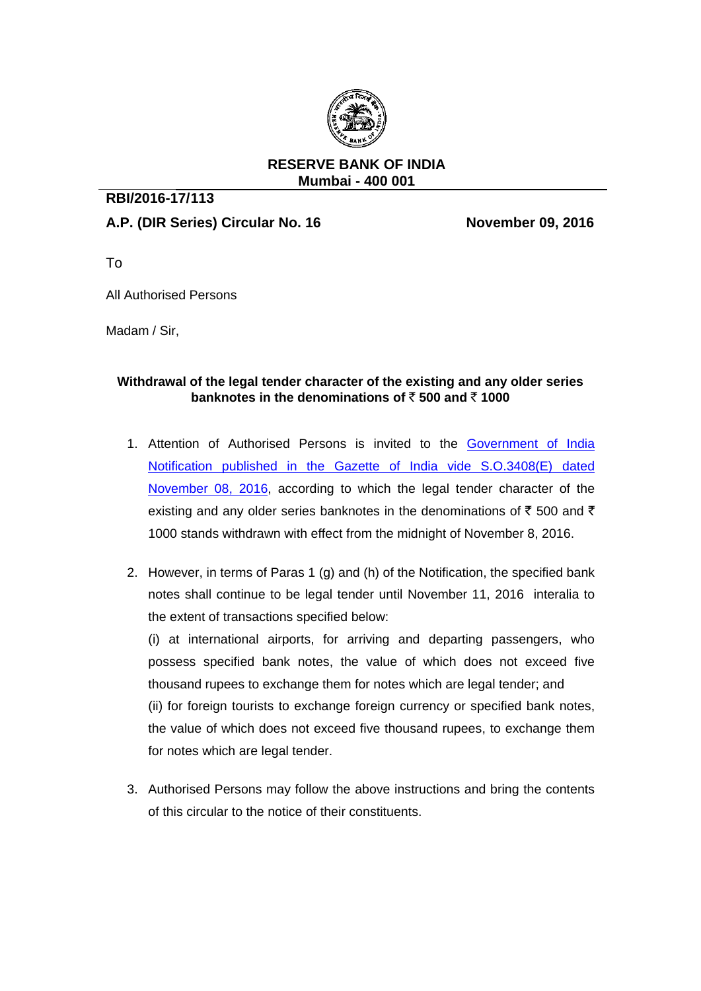

## **RESERVE BANK OF INDIA Mumbai - 400 001**

## **RBI/2016-17/113**

## **A.P. (DIR Series) Circular No. 16 November 09, 2016**

To

All Authorised Persons

Madam / Sir,

## **Withdrawal of the legal tender character of the existing and any older series banknotes in the denominations of**  $\bar{\tau}$  **500 and**  $\bar{\tau}$  **1000**

- 1. Attention of Authorised Persons is invited to the [Government of India](http://finmin.nic.in/172522.pdf)  [Notification published in the Gazette of India vide S.O.3408\(E\) dated](http://finmin.nic.in/172522.pdf)  [November 08, 2016,](http://finmin.nic.in/172522.pdf) according to which the legal tender character of the existing and any older series banknotes in the denominations of  $\bar{\tau}$  500 and  $\bar{\tau}$ 1000 stands withdrawn with effect from the midnight of November 8, 2016.
- 2. However, in terms of Paras 1 (g) and (h) of the Notification, the specified bank notes shall continue to be legal tender until November 11, 2016 interalia to the extent of transactions specified below:

(i) at international airports, for arriving and departing passengers, who possess specified bank notes, the value of which does not exceed five thousand rupees to exchange them for notes which are legal tender; and (ii) for foreign tourists to exchange foreign currency or specified bank notes, the value of which does not exceed five thousand rupees, to exchange them for notes which are legal tender.

3. Authorised Persons may follow the above instructions and bring the contents of this circular to the notice of their constituents.